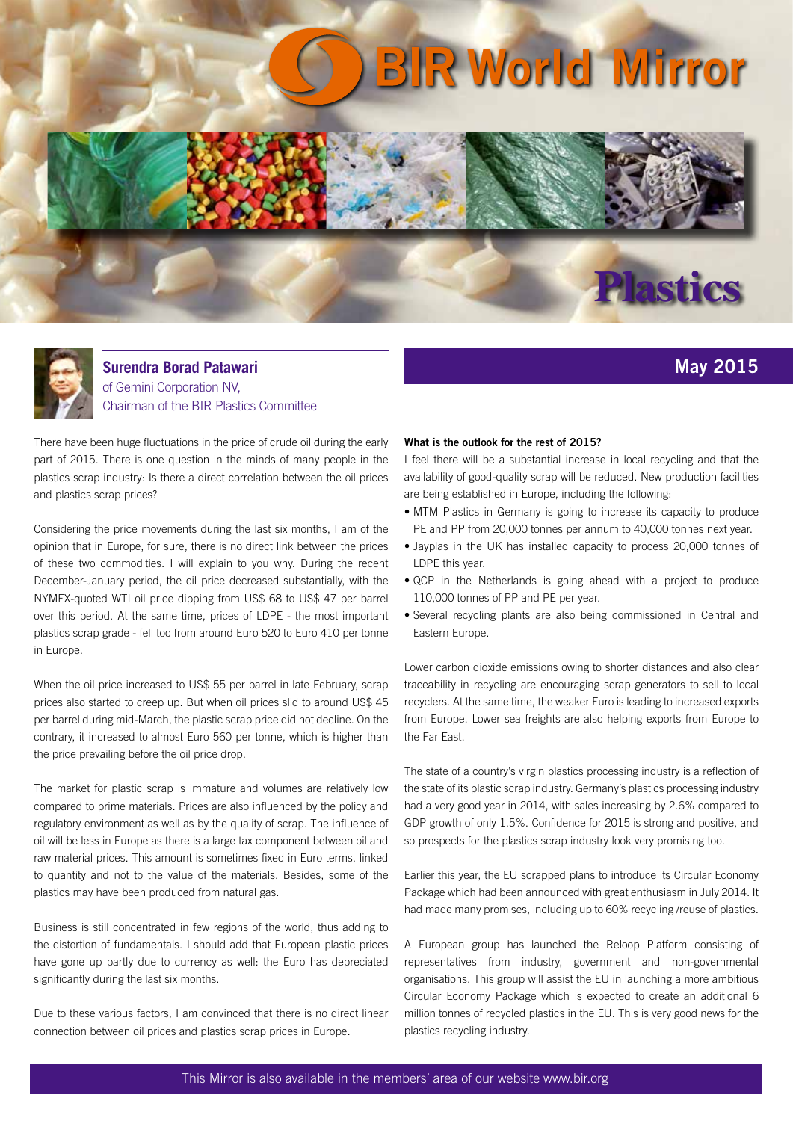## **BIR World Mirror**





**Surendra Borad Patawari**  of Gemini Corporation NV, Chairman of the BIR Plastics Committee

There have been huge fluctuations in the price of crude oil during the early part of 2015. There is one question in the minds of many people in the plastics scrap industry: Is there a direct correlation between the oil prices and plastics scrap prices?

Considering the price movements during the last six months, I am of the opinion that in Europe, for sure, there is no direct link between the prices of these two commodities. I will explain to you why. During the recent December-January period, the oil price decreased substantially, with the NYMEX-quoted WTI oil price dipping from US\$ 68 to US\$ 47 per barrel over this period. At the same time, prices of LDPE - the most important plastics scrap grade - fell too from around Euro 520 to Euro 410 per tonne in Europe.

When the oil price increased to US\$ 55 per barrel in late February, scrap prices also started to creep up. But when oil prices slid to around US\$ 45 per barrel during mid-March, the plastic scrap price did not decline. On the contrary, it increased to almost Euro 560 per tonne, which is higher than the price prevailing before the oil price drop.

The market for plastic scrap is immature and volumes are relatively low compared to prime materials. Prices are also influenced by the policy and regulatory environment as well as by the quality of scrap. The influence of oil will be less in Europe as there is a large tax component between oil and raw material prices. This amount is sometimes fixed in Euro terms, linked to quantity and not to the value of the materials. Besides, some of the plastics may have been produced from natural gas.

Business is still concentrated in few regions of the world, thus adding to the distortion of fundamentals. I should add that European plastic prices have gone up partly due to currency as well: the Euro has depreciated significantly during the last six months.

Due to these various factors, I am convinced that there is no direct linear connection between oil prices and plastics scrap prices in Europe.

## **What is the outlook for the rest of 2015?**

I feel there will be a substantial increase in local recycling and that the availability of good-quality scrap will be reduced. New production facilities are being established in Europe, including the following:

**May 2015**

- MTM Plastics in Germany is going to increase its capacity to produce PE and PP from 20,000 tonnes per annum to 40,000 tonnes next year.
- Jayplas in the UK has installed capacity to process 20,000 tonnes of LDPE this year.
- QCP in the Netherlands is going ahead with a project to produce 110,000 tonnes of PP and PE per year.
- Several recycling plants are also being commissioned in Central and Eastern Europe.

Lower carbon dioxide emissions owing to shorter distances and also clear traceability in recycling are encouraging scrap generators to sell to local recyclers. At the same time, the weaker Euro is leading to increased exports from Europe. Lower sea freights are also helping exports from Europe to the Far East.

The state of a country's virgin plastics processing industry is a reflection of the state of its plastic scrap industry. Germany's plastics processing industry had a very good year in 2014, with sales increasing by 2.6% compared to GDP growth of only 1.5%. Confidence for 2015 is strong and positive, and so prospects for the plastics scrap industry look very promising too.

Earlier this year, the EU scrapped plans to introduce its Circular Economy Package which had been announced with great enthusiasm in July 2014. It had made many promises, including up to 60% recycling /reuse of plastics.

A European group has launched the Reloop Platform consisting of representatives from industry, government and non-governmental organisations. This group will assist the EU in launching a more ambitious Circular Economy Package which is expected to create an additional 6 million tonnes of recycled plastics in the EU. This is very good news for the plastics recycling industry.